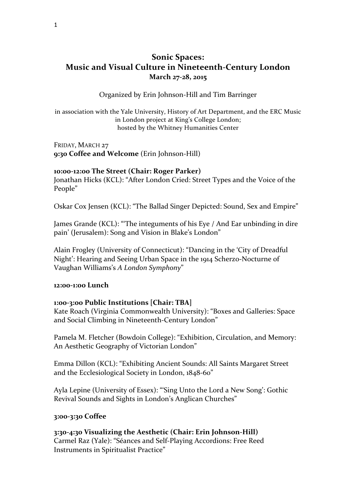# **Sonic Spaces: Music and Visual Culture in Nineteenth-Century London** March 27-28, 2015

### Organized by Erin Johnson-Hill and Tim Barringer

in association with the Yale University, History of Art Department, and the ERC Music in London project at King's College London; hosted by the Whitney Humanities Center

FRIDAY, MARCH 27 9:30 Coffee and Welcome (Erin Johnson-Hill)

#### **10:00-12:00 The Street (Chair: Roger Parker)**

Jonathan Hicks (KCL): "After London Cried: Street Types and the Voice of the People"

Oskar Cox Jensen (KCL): "The Ballad Singer Depicted: Sound, Sex and Empire"

James Grande (KCL): "The integuments of his Eye / And Ear unbinding in dire pain' (Jerusalem): Song and Vision in Blake's London"

Alain Frogley (University of Connecticut): "Dancing in the 'City of Dreadful Night': Hearing and Seeing Urban Space in the 1914 Scherzo-Nocturne of Vaughan Williams's *A London Symphony*"

#### **12:00-1:00 Lunch**

#### **1:00-3:00 Public Institutions [Chair: TBA]**

Kate Roach (Virginia Commonwealth University): "Boxes and Galleries: Space and Social Climbing in Nineteenth-Century London"

Pamela M. Fletcher (Bowdoin College): "Exhibition, Circulation, and Memory: An Aesthetic Geography of Victorian London"

Emma Dillon (KCL): "Exhibiting Ancient Sounds: All Saints Margaret Street and the Ecclesiological Society in London, 1848-60"

Ayla Lepine (University of Essex): "'Sing Unto the Lord a New Song': Gothic Revival Sounds and Sights in London's Anglican Churches"

#### **3:00-3:30 Coffee**

**3:30-4:30 Visualizing the Aesthetic (Chair: Erin Johnson-Hill)** Carmel Raz (Yale): "Séances and Self-Playing Accordions: Free Reed Instruments in Spiritualist Practice"